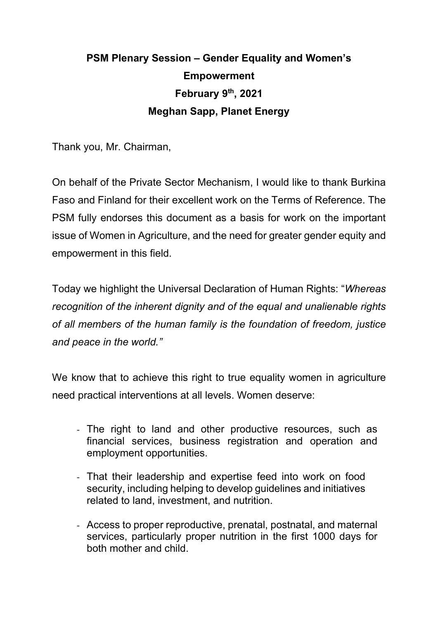## **PSM Plenary Session – Gender Equality and Women's Empowerment February 9th, 2021 Meghan Sapp, Planet Energy**

Thank you, Mr. Chairman,

On behalf of the Private Sector Mechanism, I would like to thank Burkina Faso and Finland for their excellent work on the Terms of Reference. The PSM fully endorses this document as a basis for work on the important issue of Women in Agriculture, and the need for greater gender equity and empowerment in this field.

Today we highlight the Universal Declaration of Human Rights: "*Whereas recognition of the inherent dignity and of the equal and unalienable rights of all members of the human family is the foundation of freedom, justice and peace in the world."*

We know that to achieve this right to true equality women in agriculture need practical interventions at all levels. Women deserve:

- The right to land and other productive resources, such as financial services, business registration and operation and employment opportunities.
- That their leadership and expertise feed into work on food security, including helping to develop guidelines and initiatives related to land, investment, and nutrition.
- Access to proper reproductive, prenatal, postnatal, and maternal services, particularly proper nutrition in the first 1000 days for both mother and child.